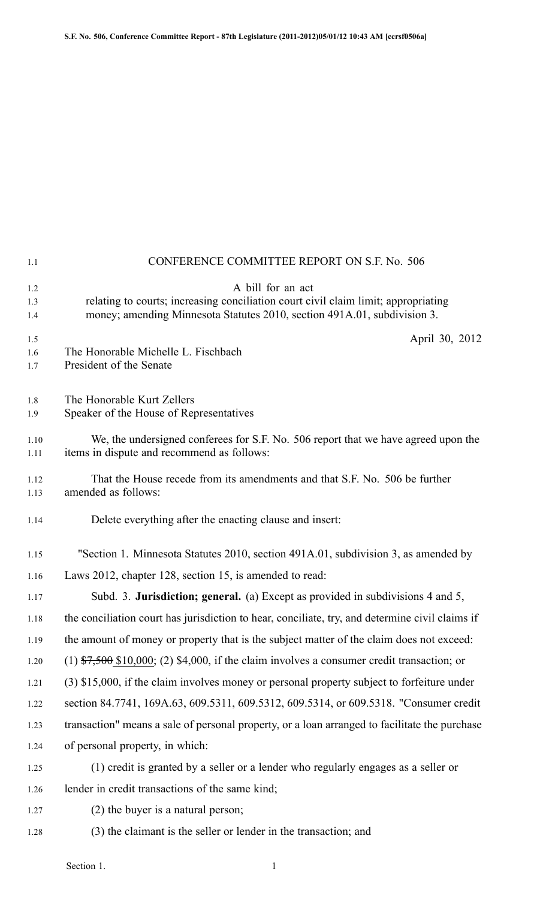| 1.1               | CONFERENCE COMMITTEE REPORT ON S.F. No. 506                                                                                                                                         |  |
|-------------------|-------------------------------------------------------------------------------------------------------------------------------------------------------------------------------------|--|
| 1.2<br>1.3<br>1.4 | A bill for an act<br>relating to courts; increasing conciliation court civil claim limit; appropriating<br>money; amending Minnesota Statutes 2010, section 491A.01, subdivision 3. |  |
| 1.5<br>1.6<br>1.7 | April 30, 2012<br>The Honorable Michelle L. Fischbach<br>President of the Senate                                                                                                    |  |
| 1.8<br>1.9        | The Honorable Kurt Zellers<br>Speaker of the House of Representatives                                                                                                               |  |
| 1.10<br>1.11      | We, the undersigned conferees for S.F. No. 506 report that we have agreed upon the<br>items in dispute and recommend as follows:                                                    |  |
| 1.12<br>1.13      | That the House recede from its amendments and that S.F. No. 506 be further<br>amended as follows:                                                                                   |  |
| 1.14              | Delete everything after the enacting clause and insert:                                                                                                                             |  |
| 1.15              | "Section 1. Minnesota Statutes 2010, section 491A.01, subdivision 3, as amended by                                                                                                  |  |
| 1.16              | Laws 2012, chapter 128, section 15, is amended to read:                                                                                                                             |  |
| 1.17              | Subd. 3. Jurisdiction; general. (a) Except as provided in subdivisions 4 and 5,                                                                                                     |  |
| 1.18              | the conciliation court has jurisdiction to hear, conciliate, try, and determine civil claims if                                                                                     |  |
| 1.19              | the amount of money or property that is the subject matter of the claim does not exceed:                                                                                            |  |
| 1.20              | $(1)$ \$7,500 \$10,000; (2) \$4,000, if the claim involves a consumer credit transaction; or                                                                                        |  |
| 1.21              | (3) \$15,000, if the claim involves money or personal property subject to forfeiture under                                                                                          |  |
| 1.22              | section 84.7741, 169A.63, 609.5311, 609.5312, 609.5314, or 609.5318. "Consumer credit                                                                                               |  |
| 1.23              | transaction" means a sale of personal property, or a loan arranged to facilitate the purchase                                                                                       |  |
| 1.24              | of personal property, in which:                                                                                                                                                     |  |
| 1.25              | (1) credit is granted by a seller or a lender who regularly engages as a seller or                                                                                                  |  |
| 1.26              | lender in credit transactions of the same kind;                                                                                                                                     |  |
| 1.27              | (2) the buyer is a natural person;                                                                                                                                                  |  |
| 1.28              | (3) the claimant is the seller or lender in the transaction; and                                                                                                                    |  |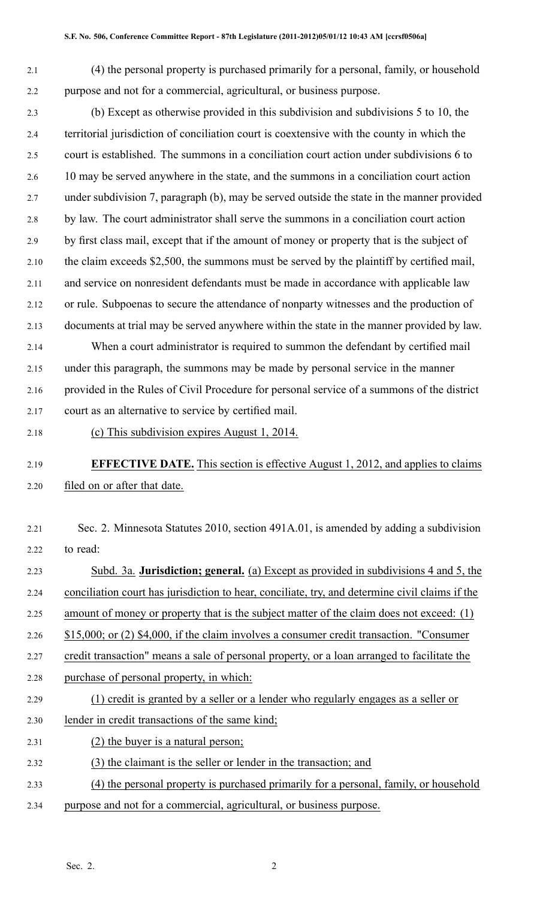2.1 (4) the personal property is purchased primarily for <sup>a</sup> personal, family, or household 2.2 purpose and not for <sup>a</sup> commercial, agricultural, or business purpose.

2.3 (b) Except as otherwise provided in this subdivision and subdivisions 5 to 10, the 2.4 territorial jurisdiction of conciliation court is coextensive with the county in which the 2.5 court is established. The summons in <sup>a</sup> conciliation court action under subdivisions 6 to 2.6 10 may be served anywhere in the state, and the summons in <sup>a</sup> conciliation court action 2.7 under subdivision 7, paragraph (b), may be served outside the state in the manner provided 2.8 by law. The court administrator shall serve the summons in <sup>a</sup> conciliation court action 2.9 by first class mail, excep<sup>t</sup> that if the amount of money or property that is the subject of 2.10 the claim exceeds \$2,500, the summons must be served by the plaintiff by certified mail, 2.11 and service on nonresident defendants must be made in accordance with applicable law 2.12 or rule. Subpoenas to secure the attendance of nonparty witnesses and the production of 2.13 documents at trial may be served anywhere within the state in the manner provided by law.

2.14 When <sup>a</sup> court administrator is required to summon the defendant by certified mail 2.15 under this paragraph, the summons may be made by personal service in the manner 2.16 provided in the Rules of Civil Procedure for personal service of <sup>a</sup> summons of the district 2.17 court as an alternative to service by certified mail.

2.18 (c) This subdivision expires August 1, 2014.

## 2.19 **EFFECTIVE DATE.** This section is effective August 1, 2012, and applies to claims 2.20 filed on or after that date.

2.21 Sec. 2. Minnesota Statutes 2010, section 491A.01, is amended by adding <sup>a</sup> subdivision 2.22 to read:

- 2.23 Subd. 3a. **Jurisdiction; general.** (a) Except as provided in subdivisions 4 and 5, the 2.24 conciliation court has jurisdiction to hear, conciliate, try, and determine civil claims if the 2.25 amount of money or property that is the subject matter of the claim does not exceed: (1) 2.26 \$15,000; or (2) \$4,000, if the claim involves <sup>a</sup> consumer credit transaction. "Consumer 2.27 credit transaction" means <sup>a</sup> sale of personal property, or <sup>a</sup> loan arranged to facilitate the 2.28 purchase of personal property, in which: 2.29 (1) credit is granted by <sup>a</sup> seller or <sup>a</sup> lender who regularly engages as <sup>a</sup> seller or 2.30 lender in credit transactions of the same kind; 2.31 (2) the buyer is <sup>a</sup> natural person; 2.32 (3) the claimant is the seller or lender in the transaction; and 2.33 (4) the personal property is purchased primarily for <sup>a</sup> personal, family, or household
- 2.34 purpose and not for <sup>a</sup> commercial, agricultural, or business purpose.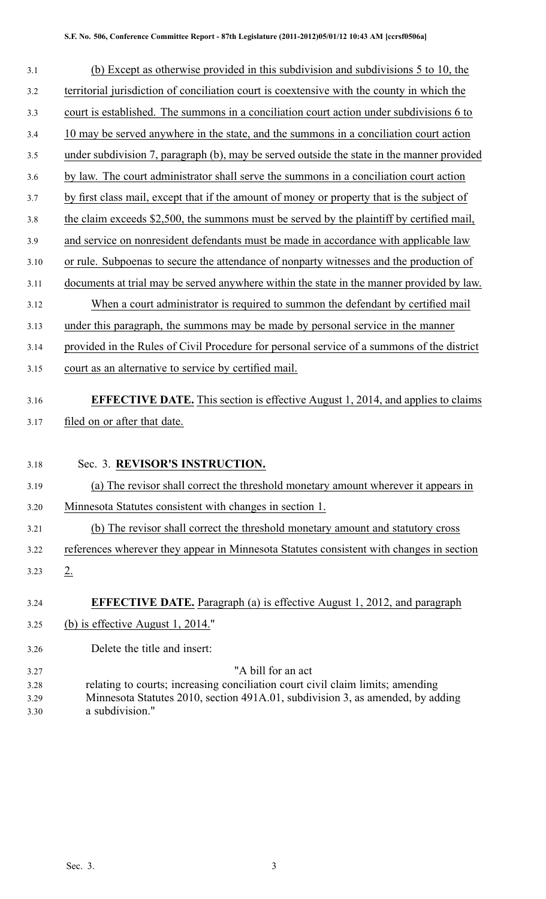| 3.1          | (b) Except as otherwise provided in this subdivision and subdivisions 5 to 10, the                |  |  |  |
|--------------|---------------------------------------------------------------------------------------------------|--|--|--|
| 3.2          | territorial jurisdiction of conciliation court is coextensive with the county in which the        |  |  |  |
| 3.3          | court is established. The summons in a conciliation court action under subdivisions 6 to          |  |  |  |
| 3.4          | 10 may be served anywhere in the state, and the summons in a conciliation court action            |  |  |  |
| 3.5          | under subdivision 7, paragraph (b), may be served outside the state in the manner provided        |  |  |  |
| 3.6          | by law. The court administrator shall serve the summons in a conciliation court action            |  |  |  |
| 3.7          | by first class mail, except that if the amount of money or property that is the subject of        |  |  |  |
| 3.8          | the claim exceeds \$2,500, the summons must be served by the plaintiff by certified mail,         |  |  |  |
| 3.9          | and service on nonresident defendants must be made in accordance with applicable law              |  |  |  |
| 3.10         | or rule. Subpoenas to secure the attendance of nonparty witnesses and the production of           |  |  |  |
| 3.11         | documents at trial may be served anywhere within the state in the manner provided by law.         |  |  |  |
| 3.12         | When a court administrator is required to summon the defendant by certified mail                  |  |  |  |
| 3.13         | under this paragraph, the summons may be made by personal service in the manner                   |  |  |  |
| 3.14         | provided in the Rules of Civil Procedure for personal service of a summons of the district        |  |  |  |
| 3.15         | court as an alternative to service by certified mail.                                             |  |  |  |
| 3.16         | <b>EFFECTIVE DATE.</b> This section is effective August 1, 2014, and applies to claims            |  |  |  |
| 3.17         | filed on or after that date.                                                                      |  |  |  |
|              |                                                                                                   |  |  |  |
| 3.18         | Sec. 3. REVISOR'S INSTRUCTION.                                                                    |  |  |  |
| 3.19         | (a) The revisor shall correct the threshold monetary amount wherever it appears in                |  |  |  |
| 3.20         | Minnesota Statutes consistent with changes in section 1.                                          |  |  |  |
| 3.21         | (b) The revisor shall correct the threshold monetary amount and statutory cross                   |  |  |  |
| 3.22         | references wherever they appear in Minnesota Statutes consistent with changes in section          |  |  |  |
| 3.23         | $2_{\cdot}$                                                                                       |  |  |  |
| 3.24         | <b>EFFECTIVE DATE.</b> Paragraph (a) is effective August 1, 2012, and paragraph                   |  |  |  |
| 3.25         | (b) is effective August 1, 2014."                                                                 |  |  |  |
| 3.26         | Delete the title and insert:                                                                      |  |  |  |
| 3.27         | "A bill for an act                                                                                |  |  |  |
| 3.28         | relating to courts; increasing conciliation court civil claim limits; amending                    |  |  |  |
| 3.29<br>3.30 | Minnesota Statutes 2010, section 491A.01, subdivision 3, as amended, by adding<br>a subdivision." |  |  |  |